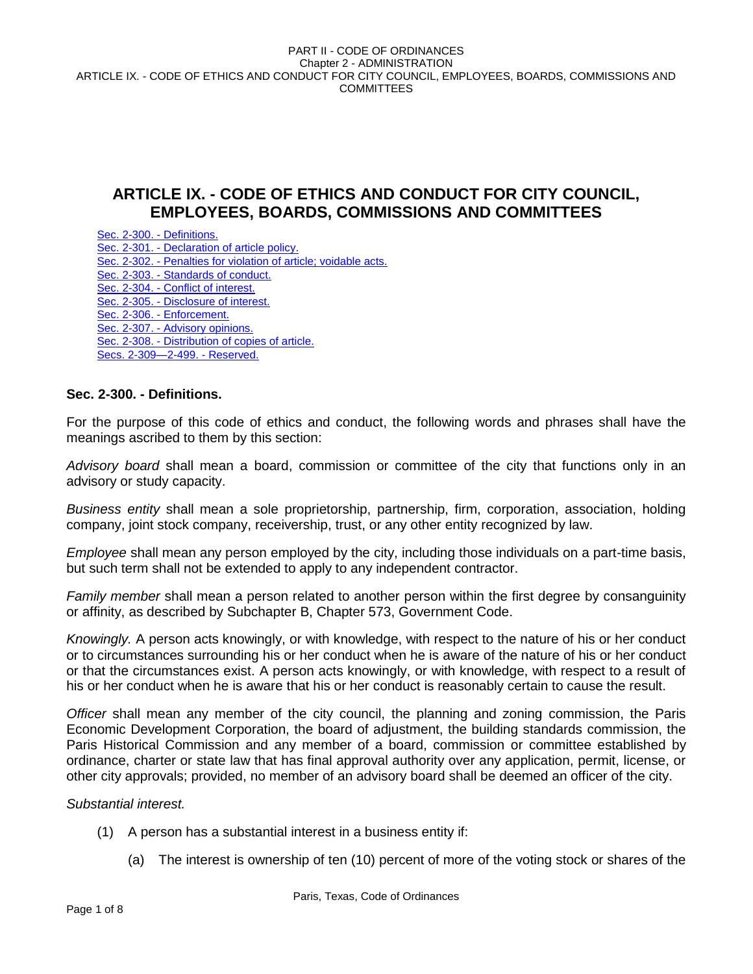# **ARTICLE IX. - CODE OF ETHICS AND CONDUCT FOR CITY COUNCIL, EMPLOYEES, BOARDS, COMMISSIONS AND COMMITTEES**

Sec. 2-300. - Definitions.

Sec. 2-301. - Declaration of article policy. Sec. 2-302. - Penalties for violation of article; voidable acts. Sec. 2-303. - Standards of conduct. Sec. 2-304. - Conflict of interest. Sec. 2-305. - Disclosure of interest. Sec. 2-306. - Enforcement. Sec. 2-307. - Advisory opinions. Sec. 2-308. - Distribution of copies of article. Secs. 2-309—2-499. - Reserved.

# **Sec. 2-300. - Definitions.**

For the purpose of this code of ethics and conduct, the following words and phrases shall have the meanings ascribed to them by this section:

*Advisory board* shall mean a board, commission or committee of the city that functions only in an advisory or study capacity.

*Business entity* shall mean a sole proprietorship, partnership, firm, corporation, association, holding company, joint stock company, receivership, trust, or any other entity recognized by law.

*Employee* shall mean any person employed by the city, including those individuals on a part-time basis, but such term shall not be extended to apply to any independent contractor.

*Family member* shall mean a person related to another person within the first degree by consanguinity or affinity, as described by Subchapter B, Chapter 573, Government Code.

*Knowingly.* A person acts knowingly, or with knowledge, with respect to the nature of his or her conduct or to circumstances surrounding his or her conduct when he is aware of the nature of his or her conduct or that the circumstances exist. A person acts knowingly, or with knowledge, with respect to a result of his or her conduct when he is aware that his or her conduct is reasonably certain to cause the result.

*Officer* shall mean any member of the city council, the planning and zoning commission, the Paris Economic Development Corporation, the board of adjustment, the building standards commission, the Paris Historical Commission and any member of a board, commission or committee established by ordinance, charter or state law that has final approval authority over any application, permit, license, or other city approvals; provided, no member of an advisory board shall be deemed an officer of the city.

### *Substantial interest.*

- (1) A person has a substantial interest in a business entity if:
	- (a) The interest is ownership of ten (10) percent of more of the voting stock or shares of the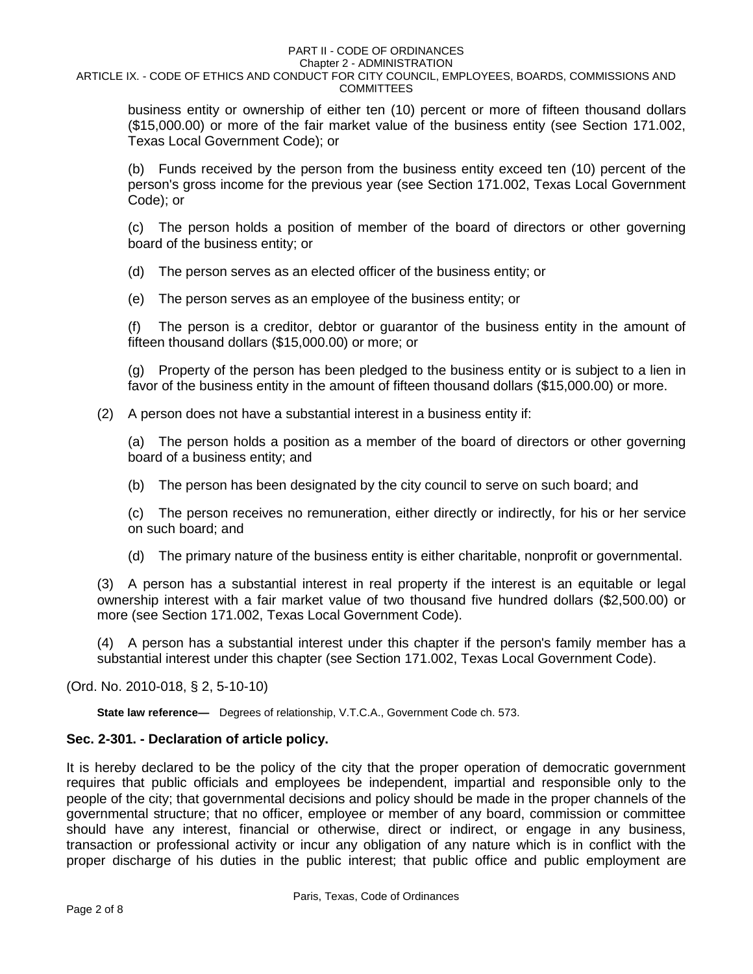### PART II - CODE OF ORDINANCES

Chapter 2 - ADMINISTRATION

#### ARTICLE IX. - CODE OF ETHICS AND CONDUCT FOR CITY COUNCIL, EMPLOYEES, BOARDS, COMMISSIONS AND **COMMITTEES**

business entity or ownership of either ten (10) percent or more of fifteen thousand dollars (\$15,000.00) or more of the fair market value of the business entity (see Section 171.002, Texas Local Government Code); or

(b) Funds received by the person from the business entity exceed ten (10) percent of the person's gross income for the previous year (see Section 171.002, Texas Local Government Code); or

(c) The person holds a position of member of the board of directors or other governing board of the business entity; or

(d) The person serves as an elected officer of the business entity; or

(e) The person serves as an employee of the business entity; or

(f) The person is a creditor, debtor or guarantor of the business entity in the amount of fifteen thousand dollars (\$15,000.00) or more; or

(g) Property of the person has been pledged to the business entity or is subject to a lien in favor of the business entity in the amount of fifteen thousand dollars (\$15,000.00) or more.

(2) A person does not have a substantial interest in a business entity if:

(a) The person holds a position as a member of the board of directors or other governing board of a business entity; and

(b) The person has been designated by the city council to serve on such board; and

(c) The person receives no remuneration, either directly or indirectly, for his or her service on such board; and

(d) The primary nature of the business entity is either charitable, nonprofit or governmental.

(3) A person has a substantial interest in real property if the interest is an equitable or legal ownership interest with a fair market value of two thousand five hundred dollars (\$2,500.00) or more (see Section 171.002, Texas Local Government Code).

(4) A person has a substantial interest under this chapter if the person's family member has a substantial interest under this chapter (see Section 171.002, Texas Local Government Code).

(Ord. No. 2010-018, § 2, 5-10-10)

**State law reference—** Degrees of relationship, V.T.C.A., Government Code ch. 573.

### **Sec. 2-301. - Declaration of article policy.**

It is hereby declared to be the policy of the city that the proper operation of democratic government requires that public officials and employees be independent, impartial and responsible only to the people of the city; that governmental decisions and policy should be made in the proper channels of the governmental structure; that no officer, employee or member of any board, commission or committee should have any interest, financial or otherwise, direct or indirect, or engage in any business, transaction or professional activity or incur any obligation of any nature which is in conflict with the proper discharge of his duties in the public interest; that public office and public employment are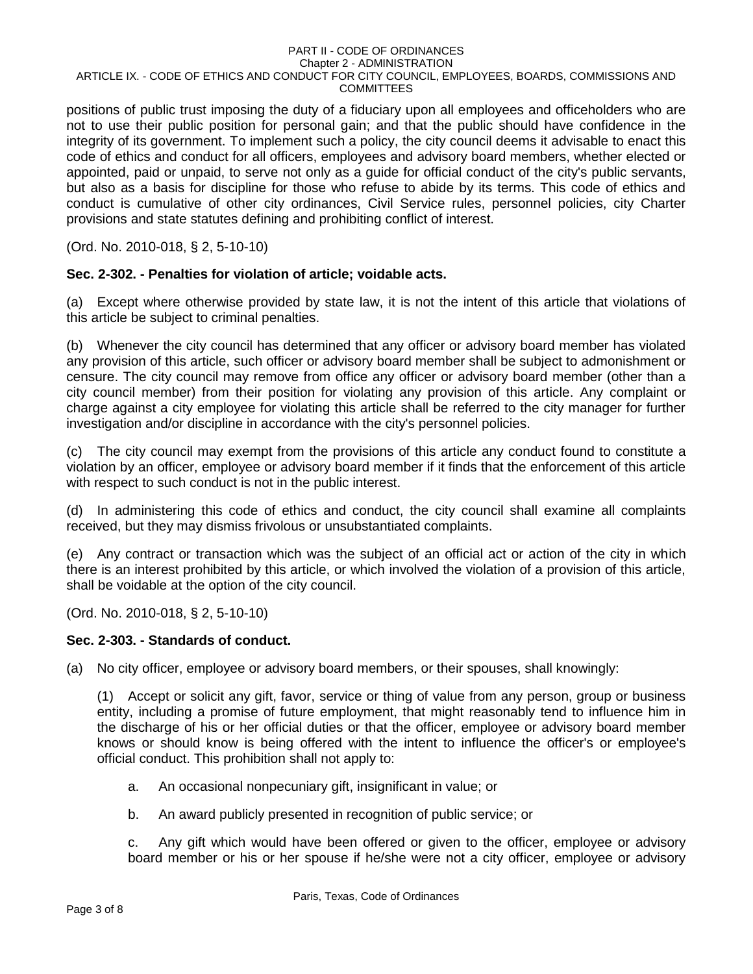positions of public trust imposing the duty of a fiduciary upon all employees and officeholders who are not to use their public position for personal gain; and that the public should have confidence in the integrity of its government. To implement such a policy, the city council deems it advisable to enact this code of ethics and conduct for all officers, employees and advisory board members, whether elected or appointed, paid or unpaid, to serve not only as a guide for official conduct of the city's public servants, but also as a basis for discipline for those who refuse to abide by its terms. This code of ethics and conduct is cumulative of other city ordinances, Civil Service rules, personnel policies, city Charter provisions and state statutes defining and prohibiting conflict of interest.

(Ord. No. 2010-018, § 2, 5-10-10)

### **Sec. 2-302. - Penalties for violation of article; voidable acts.**

(a) Except where otherwise provided by state law, it is not the intent of this article that violations of this article be subject to criminal penalties.

(b) Whenever the city council has determined that any officer or advisory board member has violated any provision of this article, such officer or advisory board member shall be subject to admonishment or censure. The city council may remove from office any officer or advisory board member (other than a city council member) from their position for violating any provision of this article. Any complaint or charge against a city employee for violating this article shall be referred to the city manager for further investigation and/or discipline in accordance with the city's personnel policies.

(c) The city council may exempt from the provisions of this article any conduct found to constitute a violation by an officer, employee or advisory board member if it finds that the enforcement of this article with respect to such conduct is not in the public interest.

(d) In administering this code of ethics and conduct, the city council shall examine all complaints received, but they may dismiss frivolous or unsubstantiated complaints.

(e) Any contract or transaction which was the subject of an official act or action of the city in which there is an interest prohibited by this article, or which involved the violation of a provision of this article, shall be voidable at the option of the city council.

(Ord. No. 2010-018, § 2, 5-10-10)

### **Sec. 2-303. - Standards of conduct.**

(a) No city officer, employee or advisory board members, or their spouses, shall knowingly:

(1) Accept or solicit any gift, favor, service or thing of value from any person, group or business entity, including a promise of future employment, that might reasonably tend to influence him in the discharge of his or her official duties or that the officer, employee or advisory board member knows or should know is being offered with the intent to influence the officer's or employee's official conduct. This prohibition shall not apply to:

- a. An occasional nonpecuniary gift, insignificant in value; or
- b. An award publicly presented in recognition of public service; or

c. Any gift which would have been offered or given to the officer, employee or advisory board member or his or her spouse if he/she were not a city officer, employee or advisory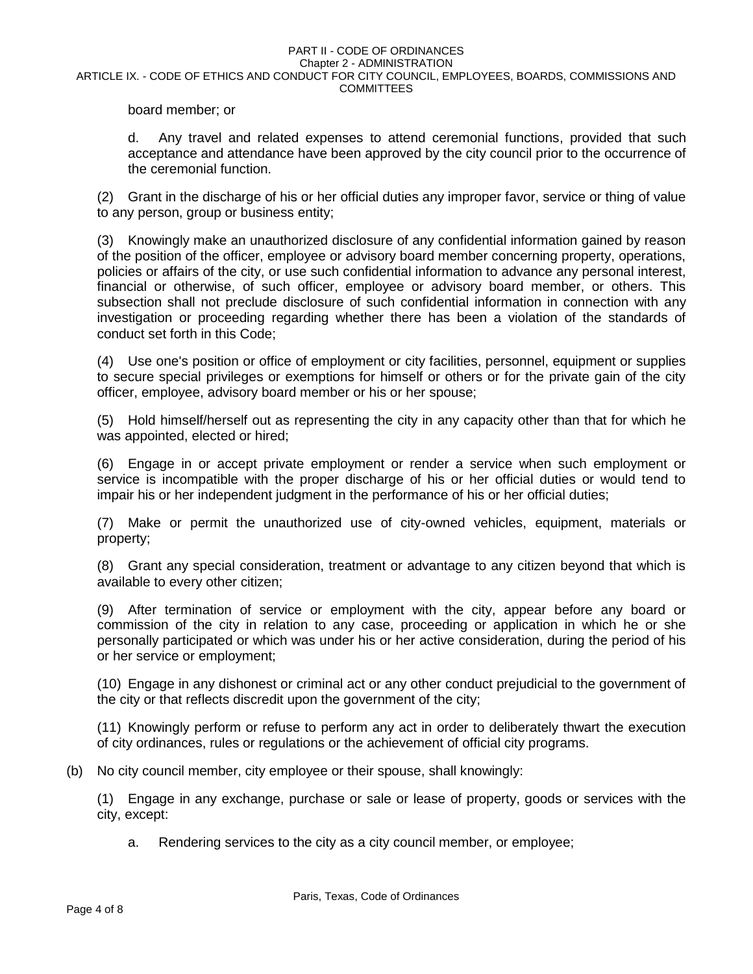board member; or

d. Any travel and related expenses to attend ceremonial functions, provided that such acceptance and attendance have been approved by the city council prior to the occurrence of the ceremonial function.

(2) Grant in the discharge of his or her official duties any improper favor, service or thing of value to any person, group or business entity;

(3) Knowingly make an unauthorized disclosure of any confidential information gained by reason of the position of the officer, employee or advisory board member concerning property, operations, policies or affairs of the city, or use such confidential information to advance any personal interest, financial or otherwise, of such officer, employee or advisory board member, or others. This subsection shall not preclude disclosure of such confidential information in connection with any investigation or proceeding regarding whether there has been a violation of the standards of conduct set forth in this Code;

(4) Use one's position or office of employment or city facilities, personnel, equipment or supplies to secure special privileges or exemptions for himself or others or for the private gain of the city officer, employee, advisory board member or his or her spouse;

(5) Hold himself/herself out as representing the city in any capacity other than that for which he was appointed, elected or hired;

(6) Engage in or accept private employment or render a service when such employment or service is incompatible with the proper discharge of his or her official duties or would tend to impair his or her independent judgment in the performance of his or her official duties;

(7) Make or permit the unauthorized use of city-owned vehicles, equipment, materials or property;

(8) Grant any special consideration, treatment or advantage to any citizen beyond that which is available to every other citizen;

(9) After termination of service or employment with the city, appear before any board or commission of the city in relation to any case, proceeding or application in which he or she personally participated or which was under his or her active consideration, during the period of his or her service or employment;

(10) Engage in any dishonest or criminal act or any other conduct prejudicial to the government of the city or that reflects discredit upon the government of the city;

(11) Knowingly perform or refuse to perform any act in order to deliberately thwart the execution of city ordinances, rules or regulations or the achievement of official city programs.

(b) No city council member, city employee or their spouse, shall knowingly:

(1) Engage in any exchange, purchase or sale or lease of property, goods or services with the city, except:

a. Rendering services to the city as a city council member, or employee;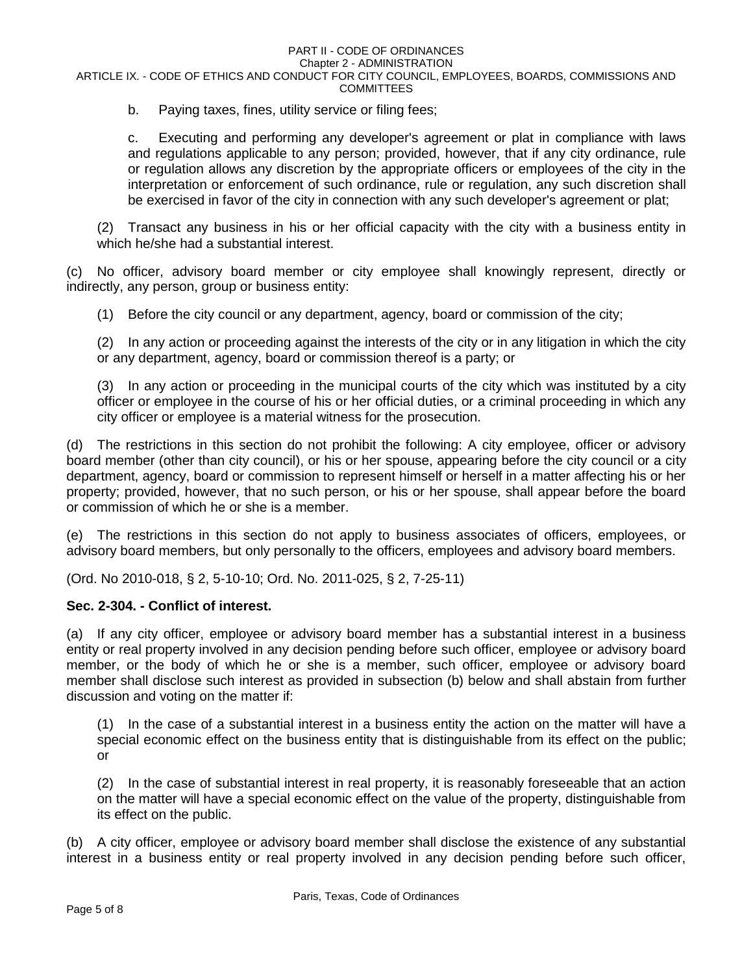b. Paying taxes, fines, utility service or filing fees;

c. Executing and performing any developer's agreement or plat in compliance with laws and regulations applicable to any person; provided, however, that if any city ordinance, rule or regulation allows any discretion by the appropriate officers or employees of the city in the interpretation or enforcement of such ordinance, rule or regulation, any such discretion shall be exercised in favor of the city in connection with any such developer's agreement or plat;

(2) Transact any business in his or her official capacity with the city with a business entity in which he/she had a substantial interest.

(c) No officer, advisory board member or city employee shall knowingly represent, directly or indirectly, any person, group or business entity:

(1) Before the city council or any department, agency, board or commission of the city;

(2) In any action or proceeding against the interests of the city or in any litigation in which the city or any department, agency, board or commission thereof is a party; or

(3) In any action or proceeding in the municipal courts of the city which was instituted by a city officer or employee in the course of his or her official duties, or a criminal proceeding in which any city officer or employee is a material witness for the prosecution.

(d) The restrictions in this section do not prohibit the following: A city employee, officer or advisory board member (other than city council), or his or her spouse, appearing before the city council or a city department, agency, board or commission to represent himself or herself in a matter affecting his or her property; provided, however, that no such person, or his or her spouse, shall appear before the board or commission of which he or she is a member.

(e) The restrictions in this section do not apply to business associates of officers, employees, or advisory board members, but only personally to the officers, employees and advisory board members.

(Ord. No 2010-018, § 2, 5-10-10; Ord. No. 2011-025, § 2, 7-25-11)

# **Sec. 2-304. - Conflict of interest.**

(a) If any city officer, employee or advisory board member has a substantial interest in a business entity or real property involved in any decision pending before such officer, employee or advisory board member, or the body of which he or she is a member, such officer, employee or advisory board member shall disclose such interest as provided in subsection (b) below and shall abstain from further discussion and voting on the matter if:

(1) In the case of a substantial interest in a business entity the action on the matter will have a special economic effect on the business entity that is distinguishable from its effect on the public; or

(2) In the case of substantial interest in real property, it is reasonably foreseeable that an action on the matter will have a special economic effect on the value of the property, distinguishable from its effect on the public.

(b) A city officer, employee or advisory board member shall disclose the existence of any substantial interest in a business entity or real property involved in any decision pending before such officer,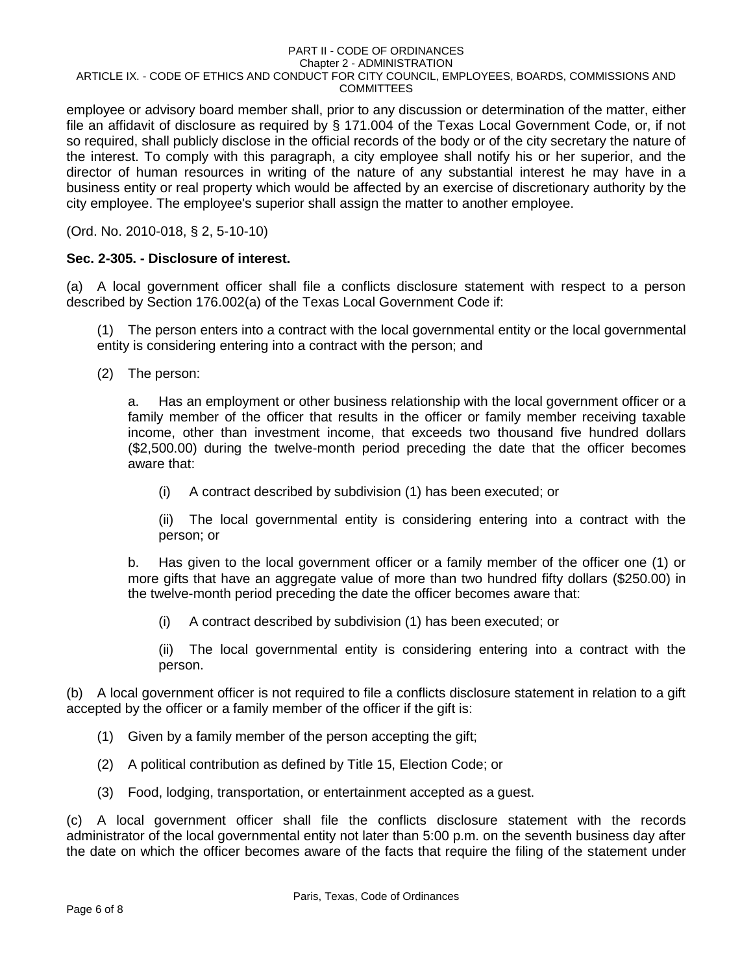employee or advisory board member shall, prior to any discussion or determination of the matter, either file an affidavit of disclosure as required by § 171.004 of the Texas Local Government Code, or, if not so required, shall publicly disclose in the official records of the body or of the city secretary the nature of the interest. To comply with this paragraph, a city employee shall notify his or her superior, and the director of human resources in writing of the nature of any substantial interest he may have in a business entity or real property which would be affected by an exercise of discretionary authority by the city employee. The employee's superior shall assign the matter to another employee.

(Ord. No. 2010-018, § 2, 5-10-10)

### **Sec. 2-305. - Disclosure of interest.**

(a) A local government officer shall file a conflicts disclosure statement with respect to a person described by Section 176.002(a) of the Texas Local Government Code if:

(1) The person enters into a contract with the local governmental entity or the local governmental entity is considering entering into a contract with the person; and

(2) The person:

a. Has an employment or other business relationship with the local government officer or a family member of the officer that results in the officer or family member receiving taxable income, other than investment income, that exceeds two thousand five hundred dollars (\$2,500.00) during the twelve-month period preceding the date that the officer becomes aware that:

(i) A contract described by subdivision (1) has been executed; or

(ii) The local governmental entity is considering entering into a contract with the person; or

b. Has given to the local government officer or a family member of the officer one (1) or more gifts that have an aggregate value of more than two hundred fifty dollars (\$250.00) in the twelve-month period preceding the date the officer becomes aware that:

(i) A contract described by subdivision (1) has been executed; or

(ii) The local governmental entity is considering entering into a contract with the person.

(b) A local government officer is not required to file a conflicts disclosure statement in relation to a gift accepted by the officer or a family member of the officer if the gift is:

- (1) Given by a family member of the person accepting the gift;
- (2) A political contribution as defined by Title 15, Election Code; or
- (3) Food, lodging, transportation, or entertainment accepted as a guest.

(c) A local government officer shall file the conflicts disclosure statement with the records administrator of the local governmental entity not later than 5:00 p.m. on the seventh business day after the date on which the officer becomes aware of the facts that require the filing of the statement under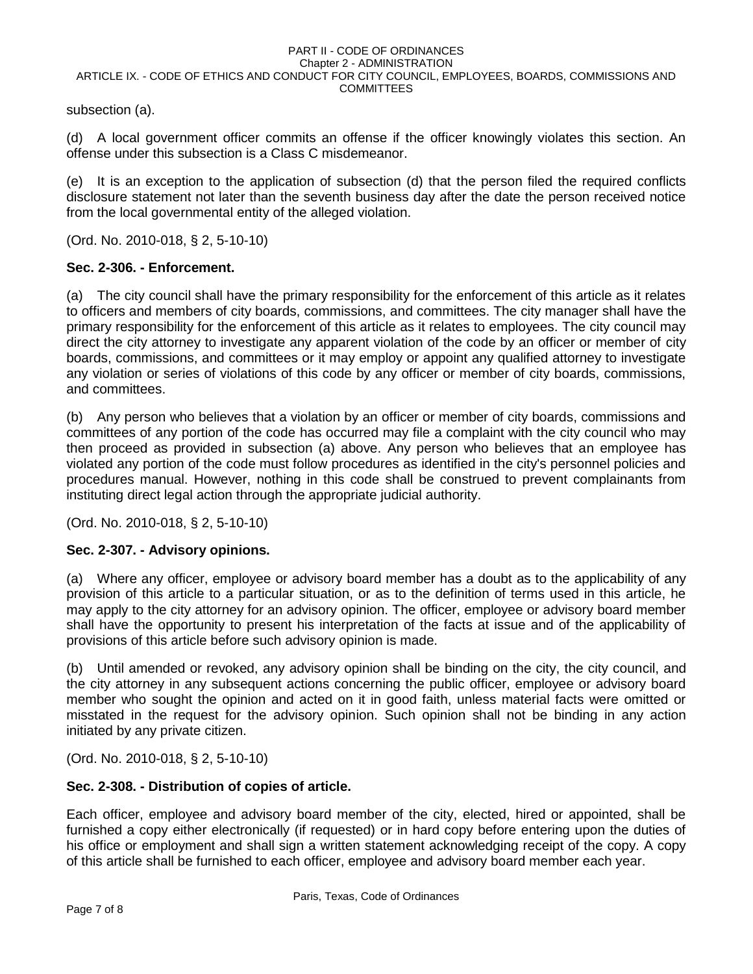subsection (a).

(d) A local government officer commits an offense if the officer knowingly violates this section. An offense under this subsection is a Class C misdemeanor.

(e) It is an exception to the application of subsection (d) that the person filed the required conflicts disclosure statement not later than the seventh business day after the date the person received notice from the local governmental entity of the alleged violation.

(Ord. No. 2010-018, § 2, 5-10-10)

# **Sec. 2-306. - Enforcement.**

(a) The city council shall have the primary responsibility for the enforcement of this article as it relates to officers and members of city boards, commissions, and committees. The city manager shall have the primary responsibility for the enforcement of this article as it relates to employees. The city council may direct the city attorney to investigate any apparent violation of the code by an officer or member of city boards, commissions, and committees or it may employ or appoint any qualified attorney to investigate any violation or series of violations of this code by any officer or member of city boards, commissions, and committees.

(b) Any person who believes that a violation by an officer or member of city boards, commissions and committees of any portion of the code has occurred may file a complaint with the city council who may then proceed as provided in subsection (a) above. Any person who believes that an employee has violated any portion of the code must follow procedures as identified in the city's personnel policies and procedures manual. However, nothing in this code shall be construed to prevent complainants from instituting direct legal action through the appropriate judicial authority.

(Ord. No. 2010-018, § 2, 5-10-10)

# **Sec. 2-307. - Advisory opinions.**

(a) Where any officer, employee or advisory board member has a doubt as to the applicability of any provision of this article to a particular situation, or as to the definition of terms used in this article, he may apply to the city attorney for an advisory opinion. The officer, employee or advisory board member shall have the opportunity to present his interpretation of the facts at issue and of the applicability of provisions of this article before such advisory opinion is made.

(b) Until amended or revoked, any advisory opinion shall be binding on the city, the city council, and the city attorney in any subsequent actions concerning the public officer, employee or advisory board member who sought the opinion and acted on it in good faith, unless material facts were omitted or misstated in the request for the advisory opinion. Such opinion shall not be binding in any action initiated by any private citizen.

(Ord. No. 2010-018, § 2, 5-10-10)

# **Sec. 2-308. - Distribution of copies of article.**

Each officer, employee and advisory board member of the city, elected, hired or appointed, shall be furnished a copy either electronically (if requested) or in hard copy before entering upon the duties of his office or employment and shall sign a written statement acknowledging receipt of the copy. A copy of this article shall be furnished to each officer, employee and advisory board member each year.